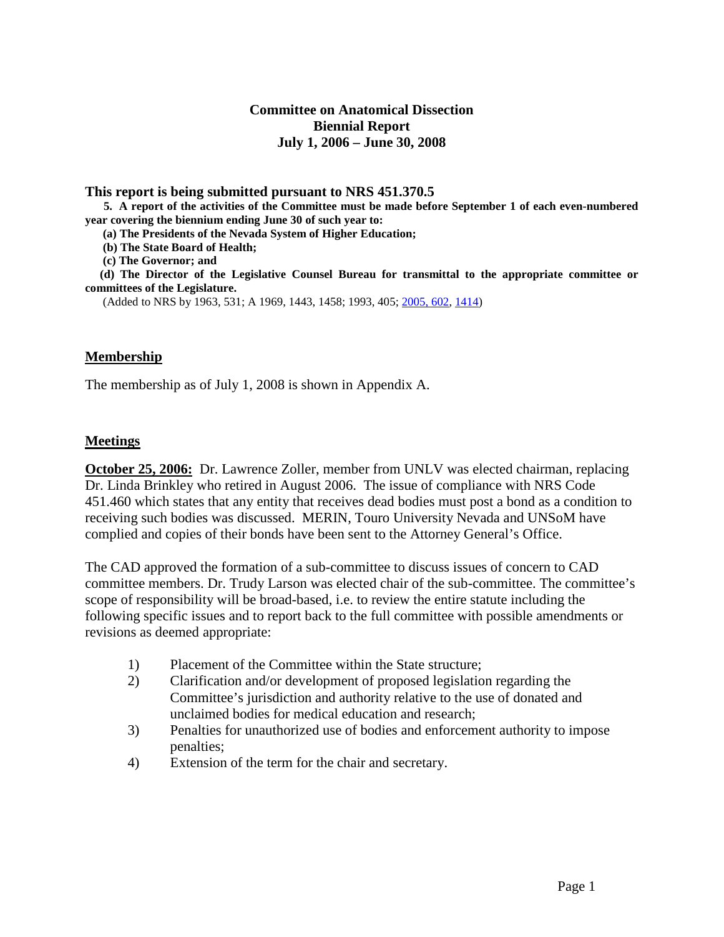### **Committee on Anatomical Dissection Biennial Report July 1, 2006 – June 30, 2008**

**This report is being submitted pursuant to NRS 451.370.5 5. A report of the activities of the Committee must be made before September 1 of each even-numbered year covering the biennium ending June 30 of such year to:**

 **(a) The Presidents of the Nevada System of Higher Education;**

 **(b) The State Board of Health;**

 **(c) The Governor; and**

 **(d) The Director of the Legislative Counsel Bureau for transmittal to the appropriate committee or committees of the Legislature.**

(Added to NRS by 1963, 531; A 1969, 1443, 1458; 1993, 405; [2005, 602,](http://www.leg.state.nv.us/Statutes/73rd/Stats200507.html#Stats200507page602) [1414\)](http://www.leg.state.nv.us/Statutes/73rd/Stats200515.html#Stats200515page1414)

#### **Membership**

The membership as of July 1, 2008 is shown in Appendix A.

#### **Meetings**

**October 25, 2006:** Dr. Lawrence Zoller, member from UNLV was elected chairman, replacing Dr. Linda Brinkley who retired in August 2006. The issue of compliance with NRS Code 451.460 which states that any entity that receives dead bodies must post a bond as a condition to receiving such bodies was discussed. MERIN, Touro University Nevada and UNSoM have complied and copies of their bonds have been sent to the Attorney General's Office.

The CAD approved the formation of a sub-committee to discuss issues of concern to CAD committee members. Dr. Trudy Larson was elected chair of the sub-committee. The committee's scope of responsibility will be broad-based, i.e. to review the entire statute including the following specific issues and to report back to the full committee with possible amendments or revisions as deemed appropriate:

- 1) Placement of the Committee within the State structure;
- 2) Clarification and/or development of proposed legislation regarding the Committee's jurisdiction and authority relative to the use of donated and unclaimed bodies for medical education and research;
- 3) Penalties for unauthorized use of bodies and enforcement authority to impose penalties;
- 4) Extension of the term for the chair and secretary.